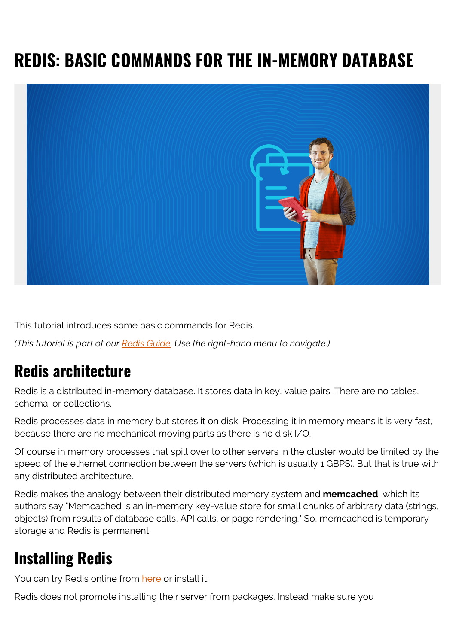# **REDIS: BASIC COMMANDS FOR THE IN-MEMORY DATABASE**



This tutorial introduces some basic commands for Redis.

*(This tutorial is part of our [Redis Guide.](https://blogs.bmc.com/blogs/redis-data-types/) Use the right-hand menu to navigate.)*

### **Redis architecture**

Redis is a distributed in-memory database. It stores data in key, value pairs. There are no tables, schema, or collections.

Redis processes data in memory but stores it on disk. Processing it in memory means it is very fast, because there are no mechanical moving parts as there is no disk I/O.

Of course in memory processes that spill over to other servers in the cluster would be limited by the speed of the ethernet connection between the servers (which is usually 1 GBPS). But that is true with any distributed architecture.

Redis makes the analogy between their distributed memory system and **memcached**, which its authors say "Memcached is an in-memory key-value store for small chunks of arbitrary data (strings, objects) from results of database calls, API calls, or page rendering." So, memcached is temporary storage and Redis is permanent.

### **Installing Redis**

You can try Redis online from [here](http://try.redis.io/) or install it.

Redis does not promote installing their server from packages. Instead make sure you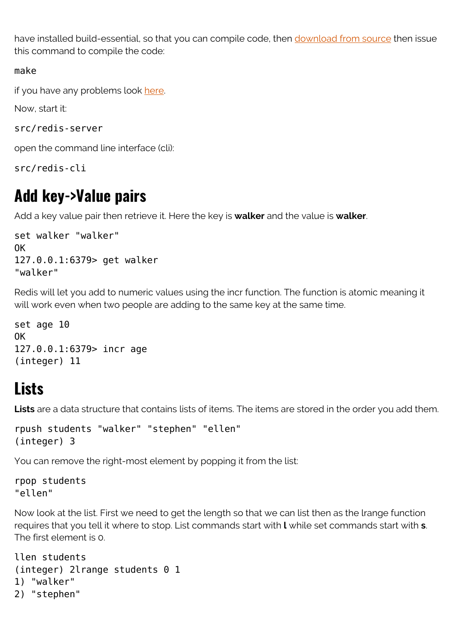have installed build-essential, so that you can compile code, then [download from source](https://redis.io/download) then issue this command to compile the code:

#### make

if you have any problems look [here](https://github.com/antirez/redis).

Now, start it:

```
src/redis-server
```
open the command line interface (cli):

src/redis-cli

### **Add key->Value pairs**

Add a key value pair then retrieve it. Here the key is **walker** and the value is **walker**.

```
set walker "walker"
OK
127.0.0.1:6379> get walker
"walker"
```
Redis will let you add to numeric values using the incr function. The function is atomic meaning it will work even when two people are adding to the same key at the same time.

set age 10 OK 127.0.0.1:6379> incr age (integer) 11

### **Lists**

Lists are a data structure that contains lists of items. The items are stored in the order you add them.

```
rpush students "walker" "stephen" "ellen"
(integer) 3
```
You can remove the right-most element by popping it from the list:

rpop students "ellen"

Now look at the list. First we need to get the length so that we can list then as the lrange function requires that you tell it where to stop. List commands start with **l** while set commands start with **s**. The first element is 0.

llen students (integer) 2lrange students 0 1 1) "walker" 2) "stephen"